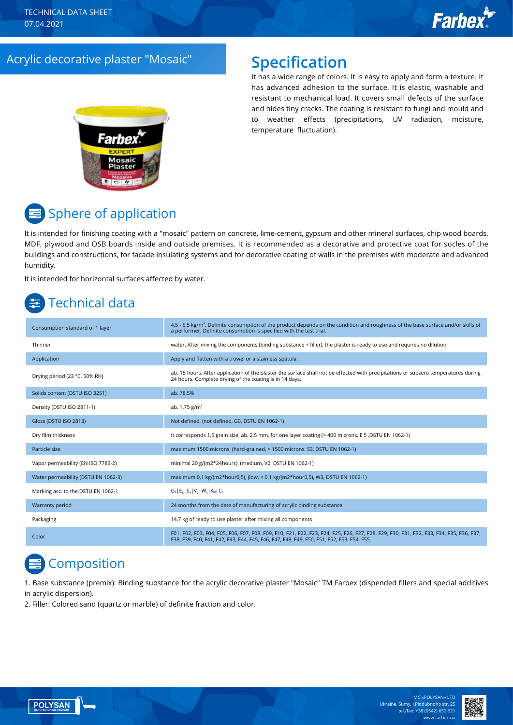### Acrylic decorative plaster "Mosaic" **Specification**

It has a wide range of colors. It is easy to apply and form a texture. It has advanced adhesion to the surface. It is elastic, washable and resistant to mechanical load. It covers small defects of the surface and hides tiny cracks. The coating is resistant to fungi and mould and to weather effects (precipitations, UV radiation, moisture, temperature fluctuation).



# **■ Sphere of application**

It is intended for finishing coating with a "mosaic" pattern on concrete, lime-cement, gypsum and other mineral surfaces, chip wood boards, MDF, plywood and OSB boards inside and outside premises. It is recommended as a decorative and protective coat for socles of the buildings and constructions, for facade insulating systems and for decorative coating of walls in the premises with moderate and advanced humidity.

It is intended for horizontal surfaces affected by water.

## Technical data

| Consumption standard of 1 layer     | 4,5 - 5,5 kg/m <sup>2</sup> . Definite consumption of the product depends on the condition and roughness of the base surface and/or skills of<br>a performer. Definite consumption is specified with the test trial.                |
|-------------------------------------|-------------------------------------------------------------------------------------------------------------------------------------------------------------------------------------------------------------------------------------|
| Thinner                             | water. After mixing the components (binding substance + filler), the plaster is ready to use and requires no dilution                                                                                                               |
| Application                         | Apply and flatten with a trowel or a stainless spatula.                                                                                                                                                                             |
| Drying period (23 °C, 50% RH)       | ab. 18 hours. After application of the plaster the surface shall not be effected with precipitations or subzero temperatures during<br>24 hours. Complete drying of the coating is in 14 days.                                      |
| Solids content (DSTU ISO 3251)      | ab. 78,5%                                                                                                                                                                                                                           |
| Density (DSTU ISO 2811-1)           | ab. $1,75$ g/m <sup>3</sup>                                                                                                                                                                                                         |
| Gloss (DSTU ISO 2813)               | Not defined, (not defined, G0, DSTU EN 1062-1)                                                                                                                                                                                      |
| Dry film thickness                  | It corresponds 1,5 grain size, ab. 2,5 mm, for one layer coating (> 400 microns, E 5, DSTU EN 1062-1)                                                                                                                               |
| Particle size                       | maximum 1500 microns, (hard-grained, > 1500 microns, S3, DSTU EN 1062-1)                                                                                                                                                            |
| Vapor permeability (EN ISO 7783-2)  | minimal 20 g/(m2*24hours), (medium, V2, DSTU EN 1062-1)                                                                                                                                                                             |
| Water permeability (DSTU EN 1062-3) | maximum 0,1 kg/(m2*hour0,5), (low, < 0,1 kg/(m2*hour0,5), W3, DSTU EN 1062-1)                                                                                                                                                       |
| Marking acc. to the DSTU EN 1062-1  | $G_0$   $E_5$   $S_3$   $V_2$   $W_3$   $A_0$   $C_0$                                                                                                                                                                               |
| Warranty period                     | 24 months from the date of manufacturing of acrylic binding substance                                                                                                                                                               |
| Packaging                           | 14,7 kg of ready to use plaster after mixing all components                                                                                                                                                                         |
| Color                               | F01, F02, F03, F04, F05, F06, F07, F08, F09, F10, F21, F22, F23, F24, F25, F26, F27, F28, F29, F30, F31, F32, F33, F34, F35, F36, F37,<br>F38, F39, F40, F41, F42, F43, F44, F45, F46, F47, F48, F49, F50, F51, F52, F53, F54, F55. |

# **Composition**

1. Base substance (premix): Binding substance for the acrylic decorative plaster "Mosaic" TM Farbex (dispended fillers and special additives in acrylic dispersion).

2. Filler: Colored sand (quartz or marble) of definite fraction and color.